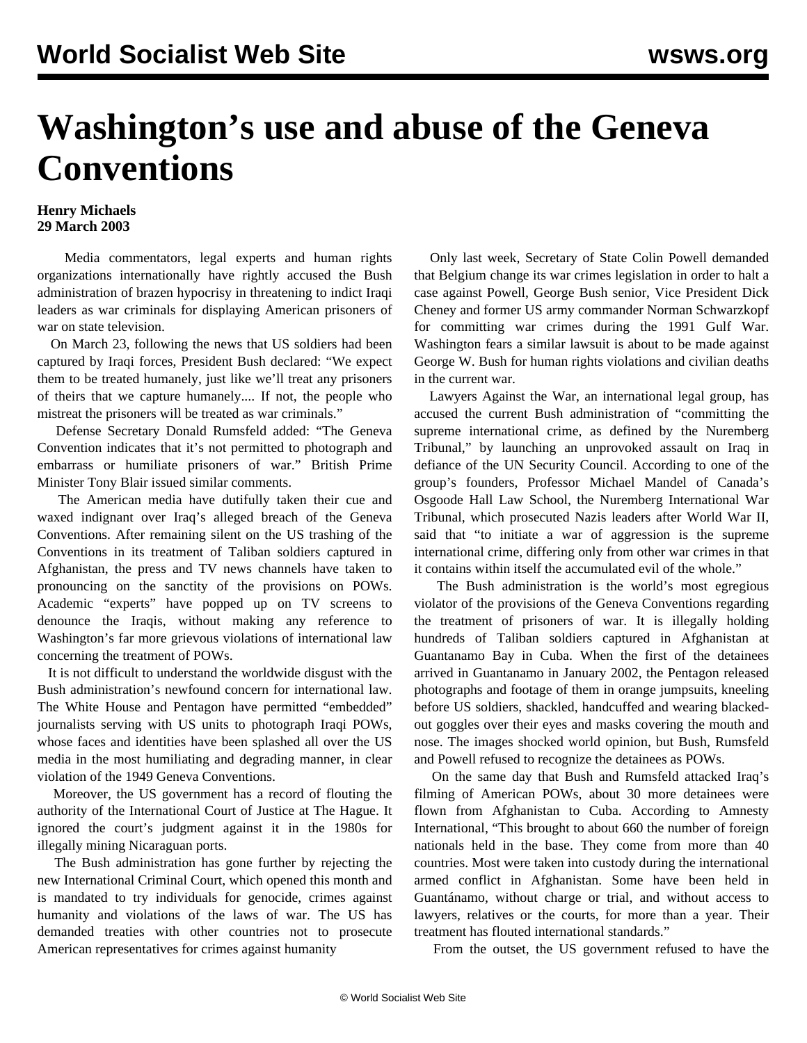## **Washington's use and abuse of the Geneva Conventions**

## **Henry Michaels 29 March 2003**

 Media commentators, legal experts and human rights organizations internationally have rightly accused the Bush administration of brazen hypocrisy in threatening to indict Iraqi leaders as war criminals for displaying American prisoners of war on state television.

 On March 23, following the news that US soldiers had been captured by Iraqi forces, President Bush declared: "We expect them to be treated humanely, just like we'll treat any prisoners of theirs that we capture humanely.... If not, the people who mistreat the prisoners will be treated as war criminals."

 Defense Secretary Donald Rumsfeld added: "The Geneva Convention indicates that it's not permitted to photograph and embarrass or humiliate prisoners of war." British Prime Minister Tony Blair issued similar comments.

 The American media have dutifully taken their cue and waxed indignant over Iraq's alleged breach of the Geneva Conventions. After remaining silent on the US trashing of the Conventions in its treatment of Taliban soldiers captured in Afghanistan, the press and TV news channels have taken to pronouncing on the sanctity of the provisions on POWs. Academic "experts" have popped up on TV screens to denounce the Iraqis, without making any reference to Washington's far more grievous violations of international law concerning the treatment of POWs.

 It is not difficult to understand the worldwide disgust with the Bush administration's newfound concern for international law. The White House and Pentagon have permitted "embedded" journalists serving with US units to photograph Iraqi POWs, whose faces and identities have been splashed all over the US media in the most humiliating and degrading manner, in clear violation of the 1949 Geneva Conventions.

 Moreover, the US government has a record of flouting the authority of the International Court of Justice at The Hague. It ignored the court's judgment against it in the 1980s for illegally mining Nicaraguan ports.

 The Bush administration has gone further by rejecting the new International Criminal Court, which opened this month and is mandated to try individuals for genocide, crimes against humanity and violations of the laws of war. The US has demanded treaties with other countries not to prosecute American representatives for crimes against humanity

 Only last week, Secretary of State Colin Powell demanded that Belgium change its war crimes legislation in order to halt a case against Powell, George Bush senior, Vice President Dick Cheney and former US army commander Norman Schwarzkopf for committing war crimes during the 1991 Gulf War. Washington fears a similar lawsuit is about to be made against George W. Bush for human rights violations and civilian deaths in the current war.

 Lawyers Against the War, an international legal group, has accused the current Bush administration of "committing the supreme international crime, as defined by the Nuremberg Tribunal," by launching an unprovoked assault on Iraq in defiance of the UN Security Council. According to one of the group's founders, Professor Michael Mandel of Canada's Osgoode Hall Law School, the Nuremberg International War Tribunal, which prosecuted Nazis leaders after World War II, said that "to initiate a war of aggression is the supreme international crime, differing only from other war crimes in that it contains within itself the accumulated evil of the whole."

 The Bush administration is the world's most egregious violator of the provisions of the Geneva Conventions regarding the treatment of prisoners of war. It is illegally holding hundreds of Taliban soldiers captured in Afghanistan at Guantanamo Bay in Cuba. When the first of the detainees arrived in Guantanamo in January 2002, the Pentagon released photographs and footage of them in orange jumpsuits, kneeling before US soldiers, shackled, handcuffed and wearing blackedout goggles over their eyes and masks covering the mouth and nose. The images shocked world opinion, but Bush, Rumsfeld and Powell refused to recognize the detainees as POWs.

 On the same day that Bush and Rumsfeld attacked Iraq's filming of American POWs, about 30 more detainees were flown from Afghanistan to Cuba. According to Amnesty International, "This brought to about 660 the number of foreign nationals held in the base. They come from more than 40 countries. Most were taken into custody during the international armed conflict in Afghanistan. Some have been held in Guantánamo, without charge or trial, and without access to lawyers, relatives or the courts, for more than a year. Their treatment has flouted international standards."

From the outset, the US government refused to have the